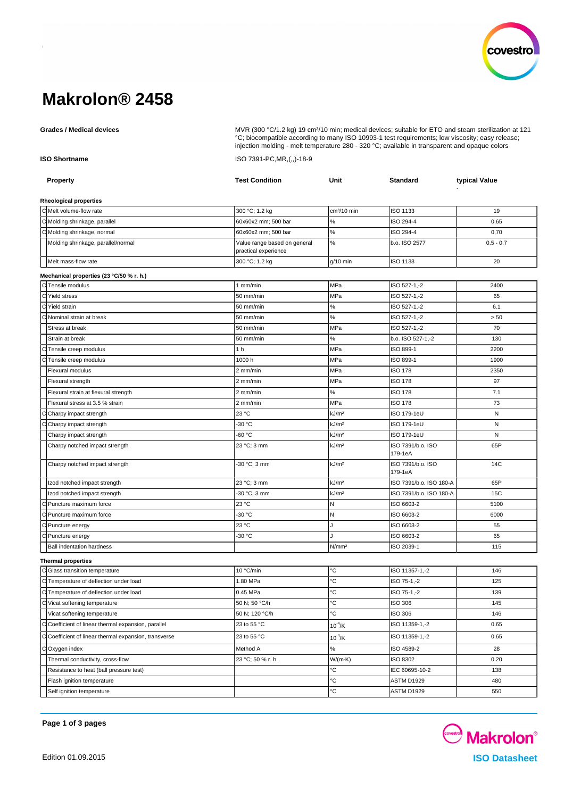

# **Makrolon® 2458**

Grades / Medical devices **Multiple and State Comedia Com** MVR (300 °C/1.2 kg) 19 cm<sup>3</sup>/10 min; medical devices; suitable for ETO and steam sterilization at 121

|                      |                                                       | injection molding - melt temperature 280 - 320 °C; available in transparent and opaque colors |                         |                              |               |  |
|----------------------|-------------------------------------------------------|-----------------------------------------------------------------------------------------------|-------------------------|------------------------------|---------------|--|
| <b>ISO Shortname</b> |                                                       | ISO 7391-PC, MR, (,,)-18-9                                                                    |                         |                              |               |  |
|                      | Property                                              | <b>Test Condition</b>                                                                         | Unit                    | <b>Standard</b>              | typical Value |  |
|                      | Rheological properties                                |                                                                                               |                         |                              |               |  |
|                      | C Melt volume-flow rate                               | 300 °C; 1.2 kg                                                                                | cm <sup>3</sup> /10 min | ISO 1133                     | 19            |  |
|                      | C Molding shrinkage, parallel                         | 60x60x2 mm; 500 bar                                                                           | %                       | ISO 294-4                    | 0.65          |  |
|                      | C Molding shrinkage, normal                           | 60x60x2 mm; 500 bar                                                                           | $\%$                    | ISO 294-4                    | 0,70          |  |
|                      | Molding shrinkage, parallel/normal                    | Value range based on general<br>practical experience                                          | $\%$                    | b.o. ISO 2577                | $0.5 - 0.7$   |  |
|                      | Melt mass-flow rate                                   | 300 °C; 1.2 kg                                                                                | g/10 min                | ISO 1133                     | 20            |  |
|                      | Mechanical properties (23 °C/50 % r. h.)              |                                                                                               |                         |                              |               |  |
|                      | C Tensile modulus                                     | 1 mm/min                                                                                      | MPa                     | ISO 527-1,-2                 | 2400          |  |
|                      | C Yield stress                                        | 50 mm/min                                                                                     | MPa                     | ISO 527-1,-2                 | 65            |  |
|                      | C Yield strain                                        | 50 mm/min                                                                                     | ℅                       | ISO 527-1,-2                 | 6.1           |  |
|                      | Nominal strain at break                               | 50 mm/min                                                                                     | $\%$                    | ISO 527-1,-2                 | > 50          |  |
|                      | Stress at break                                       | 50 mm/min                                                                                     | MPa                     | ISO 527-1,-2                 | 70            |  |
|                      | Strain at break                                       | 50 mm/min                                                                                     | ℅                       | b.o. ISO 527-1,-2            | 130           |  |
|                      | Tensile creep modulus                                 | 1 <sub>h</sub>                                                                                | MPa                     | ISO 899-1                    | 2200          |  |
|                      | Tensile creep modulus                                 | 1000 h                                                                                        | MPa                     | ISO 899-1                    | 1900          |  |
|                      | Flexural modulus                                      | 2 mm/min                                                                                      | MPa                     | ISO 178                      | 2350          |  |
|                      | Flexural strength                                     | 2 mm/min                                                                                      | MPa                     | ISO 178                      | 97            |  |
|                      | Flexural strain at flexural strength                  | 2 mm/min                                                                                      | %                       | <b>ISO 178</b>               | 7.1           |  |
|                      | Flexural stress at 3.5 % strain                       | 2 mm/min                                                                                      | MPa                     | <b>ISO 178</b>               | 73            |  |
|                      | Charpy impact strength                                | 23 °C                                                                                         | kJ/m <sup>2</sup>       | ISO 179-1eU                  | N             |  |
|                      | Charpy impact strength                                | -30 °C                                                                                        | kJ/m <sup>2</sup>       | ISO 179-1eU                  | N             |  |
|                      | Charpy impact strength                                | -60 °C                                                                                        | kJ/m <sup>2</sup>       | ISO 179-1eU                  | N             |  |
|                      | Charpy notched impact strength                        | 23 °C; 3 mm                                                                                   | kJ/m <sup>2</sup>       | ISO 7391/b.o. ISO<br>179-1eA | 65P           |  |
|                      | Charpy notched impact strength                        | -30 °C; 3 mm                                                                                  | kJ/m <sup>2</sup>       | ISO 7391/b.o. ISO<br>179-1eA | 14C           |  |
|                      | Izod notched impact strength                          | 23 °C; 3 mm                                                                                   | kJ/m <sup>2</sup>       | ISO 7391/b.o. ISO 180-A      | 65P           |  |
|                      | Izod notched impact strength                          | -30 °C; 3 mm                                                                                  | kJ/m <sup>2</sup>       | ISO 7391/b.o. ISO 180-A      | 15C           |  |
|                      | Puncture maximum force                                | 23 °C                                                                                         | Ν                       | ISO 6603-2                   | 5100          |  |
|                      | Puncture maximum force                                | -30 °C                                                                                        | Ν                       | ISO 6603-2                   | 6000          |  |
|                      | Puncture energy                                       | 23 °C                                                                                         | ۱.                      | ISO 6603-2                   | 55            |  |
|                      | Puncture energy                                       | -30 °C                                                                                        | J                       | ISO 6603-2                   | 65            |  |
|                      | <b>Ball indentation hardness</b>                      |                                                                                               | N/mm <sup>2</sup>       | ISO 2039-1                   | 115           |  |
|                      | <b>Thermal properties</b>                             |                                                                                               |                         |                              |               |  |
|                      | C Glass transition temperature                        | 10 °C/min                                                                                     | ℃                       | ISO 11357-1,-2               | 146           |  |
|                      | C Temperature of deflection under load                | 1.80 MPa                                                                                      | °C                      | ISO 75-1,-2                  | 125           |  |
|                      | C Temperature of deflection under load                | 0.45 MPa                                                                                      | °C                      | ISO 75-1,-2                  | 139           |  |
|                      | C Vicat softening temperature                         | 50 N; 50 °C/h                                                                                 | °C                      | ISO 306                      | 145           |  |
|                      | Vicat softening temperature                           | 50 N; 120 °C/h                                                                                | °C                      | ISO 306                      | 146           |  |
|                      | C Coefficient of linear thermal expansion, parallel   | 23 to 55 °C                                                                                   | $10^{-4}$ /K            | ISO 11359-1,-2               | 0.65          |  |
|                      | C Coefficient of linear thermal expansion, transverse | 23 to 55 °C                                                                                   | $10^{-4}$ /K            | ISO 11359-1,-2               | 0.65          |  |
|                      | COxygen index                                         | Method A                                                                                      | ℅                       | ISO 4589-2                   | 28            |  |
|                      | Thermal conductivity, cross-flow                      | 23 °C; 50 % r. h.                                                                             | $W/(m \cdot K)$         | ISO 8302                     | 0.20          |  |
|                      | Resistance to heat (ball pressure test)               |                                                                                               | °C                      | IEC 60695-10-2               | 138           |  |
|                      | Flash ignition temperature                            |                                                                                               | °C                      | <b>ASTM D1929</b>            | 480           |  |
|                      | Self ignition temperature                             |                                                                                               | $^{\circ}{\rm C}$       | ASTM D1929                   | 550           |  |

°C; biocompatible according to many ISO 10993-1 test requirements; low viscosity; easy release;

**Page 1 of 3 pages**

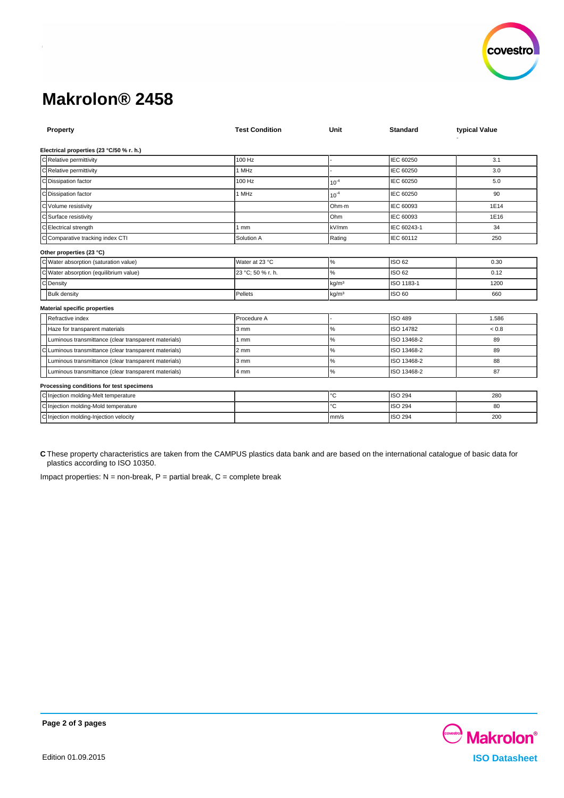

# **Makrolon® 2458**

| <b>Test Condition</b> | Unit              | <b>Standard</b> | typical Value |
|-----------------------|-------------------|-----------------|---------------|
|                       |                   |                 |               |
| 100 Hz                |                   | IEC 60250       | 3.1           |
| 1 MHz                 |                   | IEC 60250       | 3.0           |
| 100 Hz                | $10^{-4}$         | IEC 60250       | 5.0           |
| 1 MHz                 | $10^{-4}$         | IEC 60250       | 90            |
|                       | Ohm-m             | IEC 60093       | 1E14          |
|                       | Ohm               | IEC 60093       | 1E16          |
| 1mm                   | kV/mm             | IEC 60243-1     | 34            |
| Solution A            | Rating            | IEC 60112       | 250           |
|                       |                   |                 |               |
| lWater at 23 °C       | $\%$              | ISO 62          | 0.30          |
| 23 °C; 50 % r. h.     | %                 | ISO 62          | 0.12          |
|                       | kg/m <sup>3</sup> | ISO 1183-1      | 1200          |
| Pellets               | kg/m <sup>3</sup> | <b>ISO 60</b>   | 660           |
|                       |                   |                 |               |
| Procedure A           |                   | ISO 489         | 1.586         |
| 3 <sub>mm</sub>       | $\%$              | ISO 14782       | < 0.8         |
| 1 mm                  | $\%$              | ISO 13468-2     | 89            |
| $2 \text{ mm}$        | $\%$              | ISO 13468-2     | 89            |
| $3 \text{ mm}$        | $\%$              | ISO 13468-2     | 88            |
| 4 mm                  | $\%$              | ISO 13468-2     | 87            |
|                       |                   |                 |               |
|                       | °C                | <b>ISO 294</b>  | 280           |
|                       | °C                | <b>ISO 294</b>  | 80            |
|                       | mm/s              | <b>ISO 294</b>  | 200           |
|                       |                   |                 |               |

**C** These property characteristics are taken from the CAMPUS plastics data bank and are based on the international catalogue of basic data for plastics according to ISO 10350.

Impact properties:  $N =$  non-break,  $P =$  partial break,  $C =$  complete break